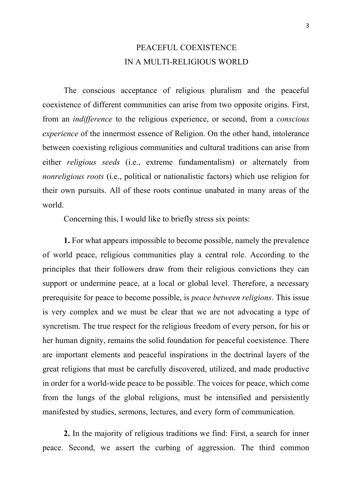## PEACEFUL COEXISTENCE IN A MULTI-RELIGIOUS WORLD

The conscious acceptance of religious pluralism and the peaceful coexistence of different communities can arise from two opposite origins. First, from an *indifference* to the religious experience, or second, from a *conscious experience* of the innermost essence of Religion. On the other hand, intolerance between coexisting religious communities and cultural traditions can arise from either *religious seeds* (i.e., extreme fundamentalism) or alternately from *nonreligious roots* (i.e., political or nationalistic factors) which use religion for their own pursuits. All of these roots continue unabated in many areas of the world.

Concerning this, I would like to briefly stress six points:

**1.** For what appears impossible to become possible, namely the prevalence of world peace, religious communities play a central role. According to the principles that their followers draw from their religious convictions they can support or undermine peace, at a local or global level. Therefore, a necessary prerequisite for peace to become possible, is *peace between religions*. This issue is very complex and we must be clear that we are not advocating a type of syncretism. The true respect for the religious freedom of every person, for his or her human dignity, remains the solid foundation for peaceful coexistence. There are important elements and peaceful inspirations in the doctrinal layers of the great religions that must be carefully discovered, utilized, and made productive in order for a world-wide peace to be possible. The voices for peace, which come from the lungs of the global religions, must be intensified and persistently manifested by studies, sermons, lectures, and every form of communication.

**2.** In the majority of religious traditions we find: First, a search for inner peace. Second, we assert the curbing of aggression. The third common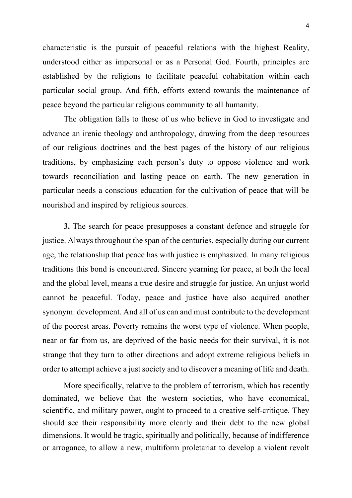characteristic is the pursuit of peaceful relations with the highest Reality, understood either as impersonal or as a Personal God. Fourth, principles are established by the religions to facilitate peaceful cohabitation within each particular social group. And fifth, efforts extend towards the maintenance of peace beyond the particular religious community to all humanity.

The obligation falls to those of us who believe in God to investigate and advance an irenic theology and anthropology, drawing from the deep resources of our religious doctrines and the best pages of the history of our religious traditions, by emphasizing each person's duty to oppose violence and work towards reconciliation and lasting peace on earth. The new generation in particular needs a conscious education for the cultivation of peace that will be nourished and inspired by religious sources.

**3.** The search for peace presupposes a constant defence and struggle for justice. Always throughout the span of the centuries, especially during our current age, the relationship that peace has with justice is emphasized. In many religious traditions this bond is encountered. Sincere yearning for peace, at both the local and the global level, means a true desire and struggle for justice. An unjust world cannot be peaceful. Today, peace and justice have also acquired another synonym: development. And all of us can and must contribute to the development of the poorest areas. Poverty remains the worst type of violence. When people, near or far from us, are deprived of the basic needs for their survival, it is not strange that they turn to other directions and adopt extreme religious beliefs in order to attempt achieve a just society and to discover a meaning of life and death.

More specifically, relative to the problem of terrorism, which has recently dominated, we believe that the western societies, who have economical, scientific, and military power, ought to proceed to a creative self-critique. They should see their responsibility more clearly and their debt to the new global dimensions. It would be tragic, spiritually and politically, because of indifference or arrogance, to allow a new, multiform proletariat to develop a violent revolt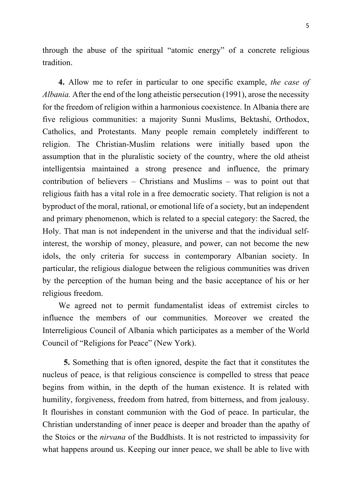through the abuse of the spiritual "atomic energy" of a concrete religious tradition.

**4.** Allow me to refer in particular to one specific example, *the case of Albania.* After the end of the long atheistic persecution (1991), arose the necessity for the freedom of religion within a harmonious coexistence. In Albania there are five religious communities: a majority Sunni Muslims, Bektashi, Orthodox, Catholics, and Protestants. Many people remain completely indifferent to religion. The Christian-Muslim relations were initially based upon the assumption that in the pluralistic society of the country, where the old atheist intelligentsia maintained a strong presence and influence, the primary contribution of believers – Christians and Muslims – was to point out that religious faith has a vital role in a free democratic society. That religion is not a byproduct of the moral, rational, or emotional life of a society, but an independent and primary phenomenon, which is related to a special category: the Sacred, the Holy. That man is not independent in the universe and that the individual selfinterest, the worship of money, pleasure, and power, can not become the new idols, the only criteria for success in contemporary Albanian society. In particular, the religious dialogue between the religious communities was driven by the perception of the human being and the basic acceptance of his or her religious freedom.

We agreed not to permit fundamentalist ideas of extremist circles to influence the members of our communities. Moreover we created the Interreligious Council of Albania which participates as a member of the World Council of "Religions for Peace" (New York).

**5.** Something that is often ignored, despite the fact that it constitutes the nucleus of peace, is that religious conscience is compelled to stress that peace begins from within, in the depth of the human existence. It is related with humility, forgiveness, freedom from hatred, from bitterness, and from jealousy. It flourishes in constant communion with the God of peace. In particular, the Christian understanding of inner peace is deeper and broader than the apathy of the Stoics or the *nirvana* of the Buddhists. It is not restricted to impassivity for what happens around us. Keeping our inner peace, we shall be able to live with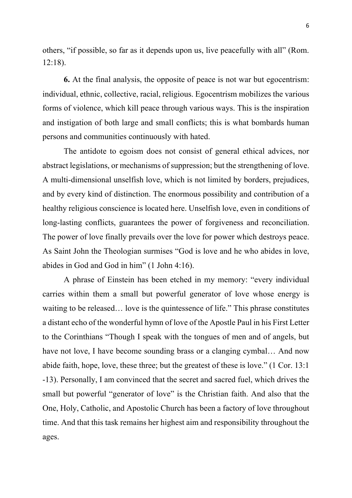others, "if possible, so far as it depends upon us, live peacefully with all" (Rom. 12:18).

**6.** At the final analysis, the opposite of peace is not war but egocentrism: individual, ethnic, collective, racial, religious. Egocentrism mobilizes the various forms of violence, which kill peace through various ways. This is the inspiration and instigation of both large and small conflicts; this is what bombards human persons and communities continuously with hated.

The antidote to egoism does not consist of general ethical advices, nor abstract legislations, or mechanisms of suppression; but the strengthening of love. A multi-dimensional unselfish love, which is not limited by borders, prejudices, and by every kind of distinction. The enormous possibility and contribution of a healthy religious conscience is located here. Unselfish love, even in conditions of long-lasting conflicts, guarantees the power of forgiveness and reconciliation. The power of love finally prevails over the love for power which destroys peace. As Saint John the Theologian surmises "God is love and he who abides in love, abides in God and God in him" (1 John 4:16).

A phrase of Einstein has been etched in my memory: "every individual carries within them a small but powerful generator of love whose energy is waiting to be released… love is the quintessence of life." This phrase constitutes a distant echo of the wonderful hymn of love of the Apostle Paul in his First Letter to the Corinthians "Though I speak with the tongues of men and of angels, but have not love, I have become sounding brass or a clanging cymbal... And now abide faith, hope, love, these three; but the greatest of these is love." (1 Cor. 13:1 -13). Personally, I am convinced that the secret and sacred fuel, which drives the small but powerful "generator of love" is the Christian faith. And also that the One, Holy, Catholic, and Apostolic Church has been a factory of love throughout time. And that this task remains her highest aim and responsibility throughout the ages.